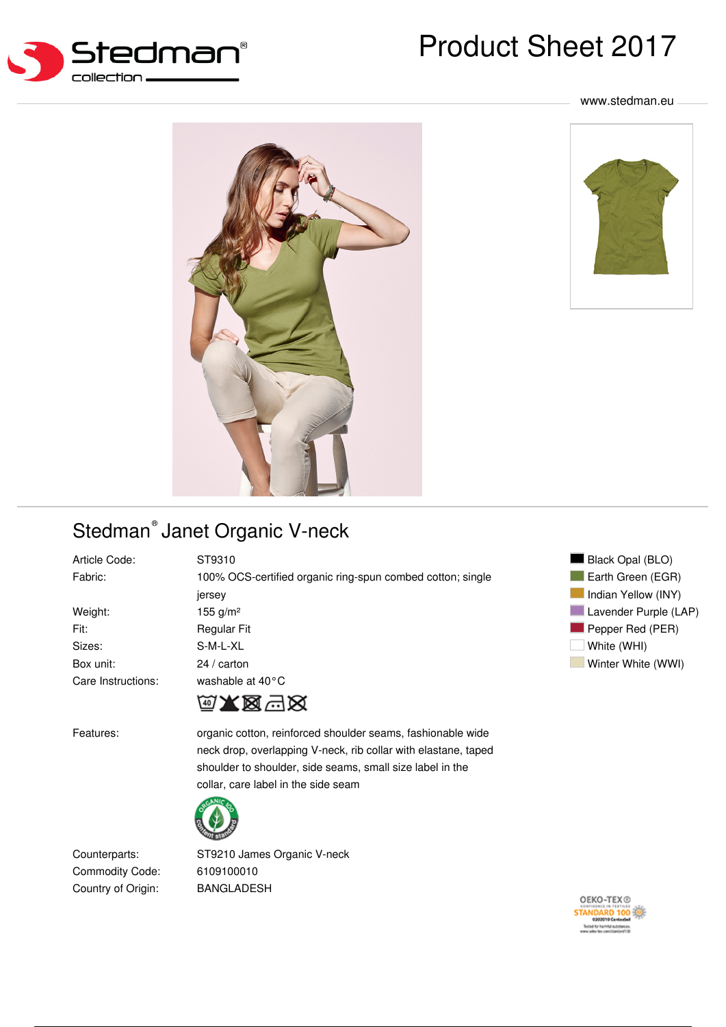# Product Sheet 2017



#### www.stedman.eu





# Stedman<sup>®</sup> Janet Organic V-neck

| Article Code:      | ST9310                                                     |
|--------------------|------------------------------------------------------------|
| Fabric:            | 100% OCS-certified organic ring-spun combed cotton; single |
|                    | jersey                                                     |
| Weight:            | 155 $g/m2$                                                 |
| Fit:               | <b>Regular Fit</b>                                         |
| Sizes:             | S-M-L-XL                                                   |
| Box unit:          | $24/$ carton                                               |
| Care Instructions: | washable at 40°C                                           |
|                    | 40/                                                        |



Features: organic cotton, reinforced shoulder seams, fashionable wide neck drop, overlapping V-neck, rib collar with elastane, taped shoulder to shoulder, side seams, small size label in the collar, care label in the side seam



Commodity Code: 6109100010 Country of Origin: BANGLADESH

Counterparts: ST9210 James Organic V-neck